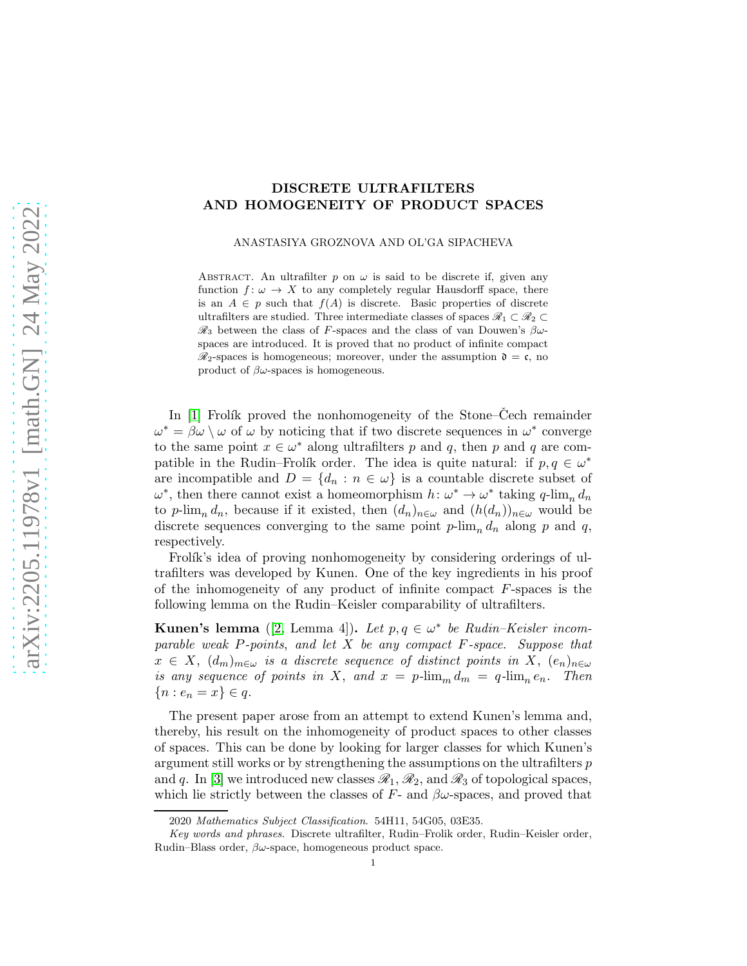# DISCRETE ULTRAFILTERS AND HOMOGENEITY OF PRODUCT SPACES

ANASTASIYA GROZNOVA AND OL'GA SIPACHEVA

ABSTRACT. An ultrafilter p on  $\omega$  is said to be discrete if, given any function  $f: \omega \to X$  to any completely regular Hausdorff space, there is an  $A \in p$  such that  $f(A)$  is discrete. Basic properties of discrete ultrafilters are studied. Three intermediate classes of spaces  $\mathscr{R}_1 \subset \mathscr{R}_2 \subset$  $\mathcal{R}_3$  between the class of F-spaces and the class of van Douwen's  $\beta\omega$ spaces are introduced. It is proved that no product of infinite compact  $\mathcal{R}_2$ -spaces is homogeneous; moreover, under the assumption  $\mathfrak{d} = \mathfrak{c}$ , no product of  $\beta\omega$ -spaces is homogeneous.

In  $[1]$  Frolík proved the nonhomogeneity of the Stone–Čech remainder  $\omega^* = \beta \omega \setminus \omega$  of  $\omega$  by noticing that if two discrete sequences in  $\omega^*$  converge to the same point  $x \in \omega^*$  along ultrafilters p and q, then p and q are compatible in the Rudin–Frolík order. The idea is quite natural: if  $p, q \in \omega^*$ are incompatible and  $D = \{d_n : n \in \omega\}$  is a countable discrete subset of  $\omega^*$ , then there cannot exist a homeomorphism  $h: \omega^* \to \omega^*$  taking  $q$ -lim<sub>n</sub>  $d_n$ to p-lim<sub>n</sub> d<sub>n</sub>, because if it existed, then  $(d_n)_{n\in\omega}$  and  $(h(d_n))_{n\in\omega}$  would be discrete sequences converging to the same point  $p\text{-lim}_n d_n$  along p and q, respectively.

Frolík's idea of proving nonhomogeneity by considering orderings of ultrafilters was developed by Kunen. One of the key ingredients in his proof of the inhomogeneity of any product of infinite compact F-spaces is the following lemma on the Rudin–Keisler comparability of ultrafilters.

Kunen's lemma ([\[2,](#page-14-1) Lemma 4]). Let  $p, q \in \omega^*$  be Rudin–Keisler incomparable weak  $P$ -points, and let  $X$  be any compact  $F$ -space. Suppose that  $x \in X$ ,  $(d_m)_{m \in \omega}$  is a discrete sequence of distinct points in X,  $(e_n)_{n \in \omega}$ is any sequence of points in X, and  $x = p\cdot \lim_m d_m = q\cdot \lim_n e_n$ . Then  ${n : e_n = x} \in q.$ 

The present paper arose from an attempt to extend Kunen's lemma and, thereby, his result on the inhomogeneity of product spaces to other classes of spaces. This can be done by looking for larger classes for which Kunen's argument still works or by strengthening the assumptions on the ultrafilters  $p$ and q. In [\[3\]](#page-14-2) we introduced new classes  $\mathcal{R}_1, \mathcal{R}_2$ , and  $\mathcal{R}_3$  of topological spaces, which lie strictly between the classes of  $F$ - and  $\beta\omega$ -spaces, and proved that

<sup>2020</sup> Mathematics Subject Classification. 54H11, 54G05, 03E35.

Key words and phrases. Discrete ultrafilter, Rudin–Frolik order, Rudin–Keisler order, Rudin–Blass order,  $\beta\omega$ -space, homogeneous product space.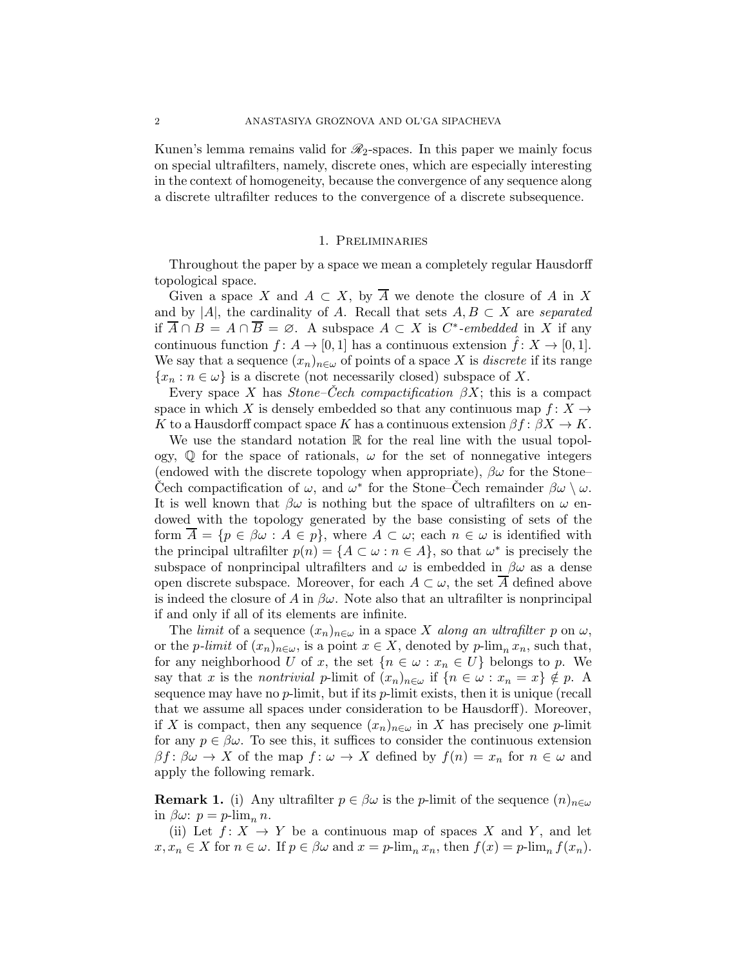Kunen's lemma remains valid for  $\mathcal{R}_2$ -spaces. In this paper we mainly focus on special ultrafilters, namely, discrete ones, which are especially interesting in the context of homogeneity, because the convergence of any sequence along a discrete ultrafilter reduces to the convergence of a discrete subsequence.

#### 1. Preliminaries

Throughout the paper by a space we mean a completely regular Hausdorff topological space.

Given a space X and  $A \subset X$ , by  $\overline{A}$  we denote the closure of A in X and by |A|, the cardinality of A. Recall that sets  $A, B \subset X$  are separated if  $\overline{A} \cap B = A \cap \overline{B} = \emptyset$ . A subspace  $A \subset X$  is  $C^*$ -embedded in X if any continuous function  $f: A \to [0, 1]$  has a continuous extension  $\hat{f}: X \to [0, 1]$ . We say that a sequence  $(x_n)_{n\in\omega}$  of points of a space X is *discrete* if its range  ${x_n : n \in \omega}$  is a discrete (not necessarily closed) subspace of X.

Every space X has Stone–Cech compactification  $\beta X$ ; this is a compact space in which X is densely embedded so that any continuous map  $f: X \rightarrow$ K to a Hausdorff compact space K has a continuous extension  $\beta f: \beta X \to K$ .

We use the standard notation  $\mathbb R$  for the real line with the usual topology,  $\mathbb Q$  for the space of rationals,  $\omega$  for the set of nonnegative integers (endowed with the discrete topology when appropriate),  $\beta\omega$  for the Stone– Cech compactification of  $\omega$ , and  $\omega^*$  for the Stone–Cech remainder  $\beta\omega\setminus\omega$ . It is well known that  $\beta\omega$  is nothing but the space of ultrafilters on  $\omega$  endowed with the topology generated by the base consisting of sets of the form  $\overline{A} = \{p \in \beta \omega : A \in p\}$ , where  $A \subset \omega$ ; each  $n \in \omega$  is identified with the principal ultrafilter  $p(n) = \{A \subset \omega : n \in A\}$ , so that  $\omega^*$  is precisely the subspace of nonprincipal ultrafilters and  $\omega$  is embedded in  $\beta\omega$  as a dense open discrete subspace. Moreover, for each  $A \subset \omega$ , the set  $\overline{A}$  defined above is indeed the closure of A in  $\beta\omega$ . Note also that an ultrafilter is nonprincipal if and only if all of its elements are infinite.

The limit of a sequence  $(x_n)_{n\in\omega}$  in a space X along an ultrafilter p on  $\omega$ , or the *p*-limit of  $(x_n)_{n\in\omega}$ , is a point  $x \in X$ , denoted by  $p\text{-lim}_n x_n$ , such that, for any neighborhood U of x, the set  $\{n \in \omega : x_n \in U\}$  belongs to p. We say that x is the nontrivial p-limit of  $(x_n)_{n\in\omega}$  if  $\{n\in\omega:x_n=x\}\notin p$ . A sequence may have no  $p$ -limit, but if its  $p$ -limit exists, then it is unique (recall that we assume all spaces under consideration to be Hausdorff). Moreover, if X is compact, then any sequence  $(x_n)_{n\in\omega}$  in X has precisely one p-limit for any  $p \in \beta \omega$ . To see this, it suffices to consider the continuous extension  $\beta f: \beta \omega \to X$  of the map  $f: \omega \to X$  defined by  $f(n) = x_n$  for  $n \in \omega$  and apply the following remark.

<span id="page-1-0"></span>**Remark 1.** (i) Any ultrafilter  $p \in \beta \omega$  is the p-limit of the sequence  $(n)_{n \in \omega}$ in  $\beta \omega$ :  $p = p$ -lim<sub>n</sub> n.

(ii) Let  $f: X \to Y$  be a continuous map of spaces X and Y, and let  $x, x_n \in X$  for  $n \in \omega$ . If  $p \in \beta \omega$  and  $x = p\text{-lim}_n x_n$ , then  $f(x) = p\text{-lim}_n f(x_n)$ .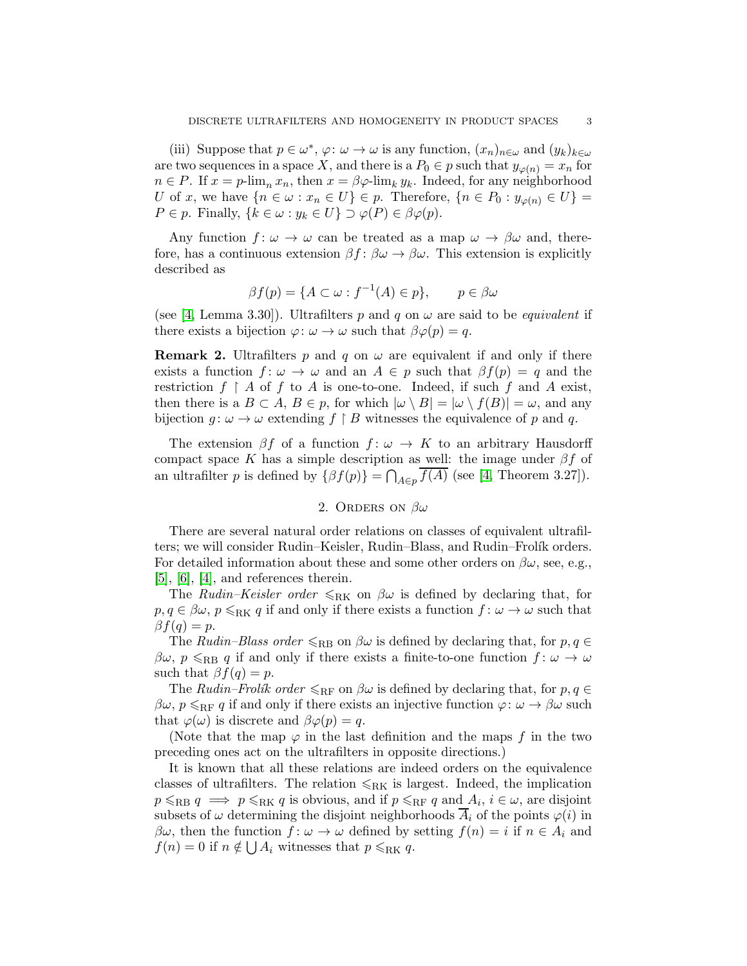(iii) Suppose that  $p \in \omega^*$ ,  $\varphi: \omega \to \omega$  is any function,  $(x_n)_{n \in \omega}$  and  $(y_k)_{k \in \omega}$ are two sequences in a space X, and there is a  $P_0 \in p$  such that  $y_{\varphi(n)} = x_n$  for  $n \in P$ . If  $x = p$ -lim<sub>n</sub>  $x_n$ , then  $x = \beta \varphi$ -lim<sub>k</sub>  $y_k$ . Indeed, for any neighborhood U of x, we have  $\{n \in \omega : x_n \in U\} \in p$ . Therefore,  $\{n \in P_0 : y_{\varphi(n)} \in U\}$  $P \in p$ . Finally,  $\{k \in \omega : y_k \in U\} \supset \varphi(P) \in \beta \varphi(p)$ .

Any function  $f: \omega \to \omega$  can be treated as a map  $\omega \to \beta \omega$  and, therefore, has a continuous extension  $\beta f : \beta \omega \to \beta \omega$ . This extension is explicitly described as

$$
\beta f(p) = \{ A \subset \omega : f^{-1}(A) \in p \}, \qquad p \in \beta \omega
$$

(see [\[4,](#page-14-3) Lemma 3.30]). Ultrafilters p and q on  $\omega$  are said to be *equivalent* if there exists a bijection  $\varphi: \omega \to \omega$  such that  $\beta \varphi(p) = q$ .

<span id="page-2-0"></span>**Remark 2.** Ultrafilters p and q on  $\omega$  are equivalent if and only if there exists a function  $f: \omega \to \omega$  and an  $A \in p$  such that  $\beta f(p) = q$  and the restriction  $f \restriction A$  of f to A is one-to-one. Indeed, if such f and A exist, then there is a  $B \subset A$ ,  $B \in p$ , for which  $|\omega \setminus B| = |\omega \setminus f(B)| = \omega$ , and any bijection  $g: \omega \to \omega$  extending  $f \upharpoonright B$  witnesses the equivalence of p and q.

The extension  $\beta f$  of a function  $f: \omega \to K$  to an arbitrary Hausdorff compact space K has a simple description as well: the image under  $\beta f$  of an ultrafilter p is defined by  $\{\beta f(p)\} = \bigcap_{A \in p} f(A)$  (see [\[4,](#page-14-3) Theorem 3.27]).

## 2. ORDERS ON  $\beta\omega$

There are several natural order relations on classes of equivalent ultrafilters; we will consider Rudin–Keisler, Rudin–Blass, and Rudin–Frolík orders. For detailed information about these and some other orders on  $\beta\omega$ , see, e.g.,  $[5]$ ,  $[6]$ ,  $[4]$ , and references therein.

The *Rudin–Keisler order*  $\leqslant_{\text{RK}}$  on  $\beta\omega$  is defined by declaring that, for  $p, q \in \beta \omega$ ,  $p \le RK$  if and only if there exists a function  $f : \omega \to \omega$  such that  $\beta f(q) = p.$ 

The Rudin–Blass order  $\leq_{RB}$  on  $\beta\omega$  is defined by declaring that, for  $p, q \in$  $\beta\omega, p \leqslant_{RB} q$  if and only if there exists a finite-to-one function  $f: \omega \to \omega$ such that  $\beta f(q) = p$ .

The Rudin–Frolík order  $\leq_{RF}$  on  $\beta\omega$  is defined by declaring that, for  $p, q \in$  $\beta\omega$ ,  $p \leqslant_{RF} q$  if and only if there exists an injective function  $\varphi: \omega \to \beta\omega$  such that  $\varphi(\omega)$  is discrete and  $\beta\varphi(p) = q$ .

(Note that the map  $\varphi$  in the last definition and the maps f in the two preceding ones act on the ultrafilters in opposite directions.)

It is known that all these relations are indeed orders on the equivalence classes of ultrafilters. The relation  $\leq_{\rm RK}$  is largest. Indeed, the implication  $p \le R$ B  $q \implies p \le R$ K q is obvious, and if  $p \le R$ F q and  $A_i, i \in \omega$ , are disjoint subsets of  $\omega$  determining the disjoint neighborhoods  $A_i$  of the points  $\varphi(i)$  in  $\beta\omega$ , then the function  $f: \omega \to \omega$  defined by setting  $f(n) = i$  if  $n \in A_i$  and  $f(n) = 0$  if  $n \notin \bigcup A_i$  witnesses that  $p \le RK$  q.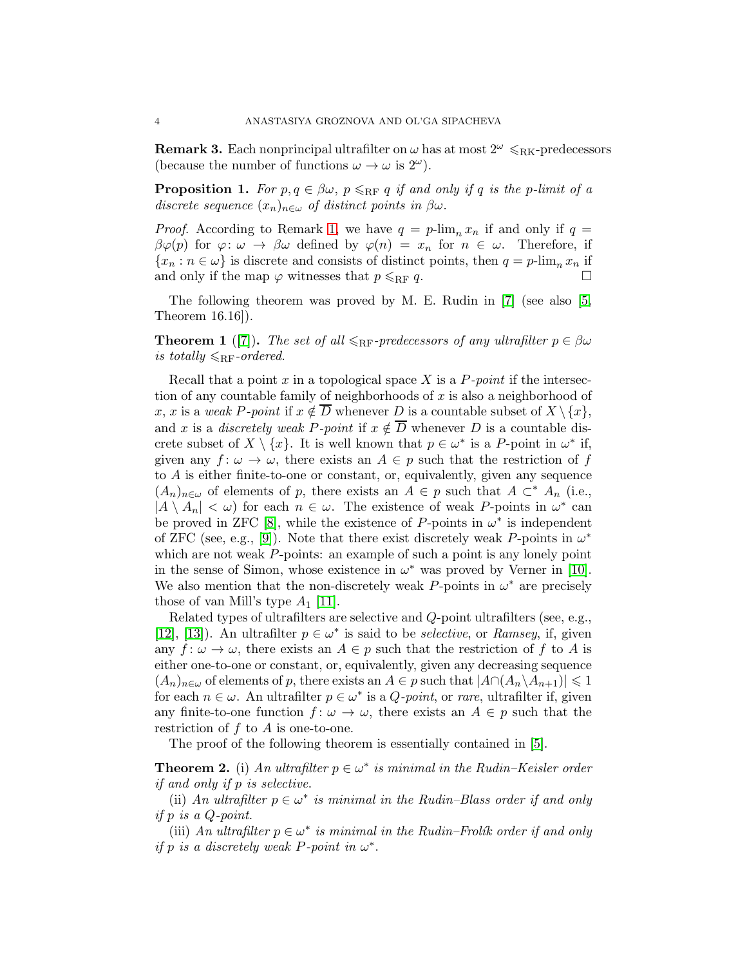<span id="page-3-2"></span>**Remark 3.** Each nonprincipal ultrafilter on  $\omega$  has at most  $2^{\omega} \le R$ K-predecessors (because the number of functions  $\omega \to \omega$  is  $2^{\omega}$ ).

<span id="page-3-0"></span>**Proposition 1.** For  $p, q \in \beta \omega$ ,  $p \leq_{RF} q$  if and only if q is the p-limit of a discrete sequence  $(x_n)_{n\in\omega}$  of distinct points in  $\beta\omega$ .

*Proof.* According to Remark [1,](#page-1-0) we have  $q = p$ -lim<sub>n</sub>  $x_n$  if and only if  $q =$  $\beta\varphi(p)$  for  $\varphi: \omega \to \beta\omega$  defined by  $\varphi(n) = x_n$  for  $n \in \omega$ . Therefore, if  ${x_n : n \in \omega}$  is discrete and consists of distinct points, then  $q = p$ -lim<sub>n</sub>  $x_n$  if and only if the map  $\varphi$  witnesses that  $p \le RF q$ .

The following theorem was proved by M. E. Rudin in [\[7\]](#page-14-6) (see also [\[5,](#page-14-4) Theorem 16.16]).

**Theorem 1** ([\[7\]](#page-14-6)). The set of all  $\leq_{RF}$ -predecessors of any ultrafilter  $p \in \beta \omega$ is totally  $\leqslant_{\rm RF}$ -ordered.

Recall that a point x in a topological space X is a  $P$ -point if the intersection of any countable family of neighborhoods of  $x$  is also a neighborhood of x, x is a weak P-point if  $x \notin \overline{D}$  whenever D is a countable subset of  $X \setminus \{x\}$ , and x is a *discretely weak P-point* if  $x \notin \overline{D}$  whenever D is a countable discrete subset of  $X \setminus \{x\}$ . It is well known that  $p \in \omega^*$  is a P-point in  $\omega^*$  if, given any  $f: \omega \to \omega$ , there exists an  $A \in p$  such that the restriction of f to A is either finite-to-one or constant, or, equivalently, given any sequence  $(A_n)_{n\in\omega}$  of elements of p, there exists an  $A \in p$  such that  $A \subset^* A_n$  (i.e.,  $|A \setminus A_n| < \omega$  for each  $n \in \omega$ . The existence of weak P-points in  $\omega^*$  can be proved in ZFC [\[8\]](#page-14-7), while the existence of P-points in  $\omega^*$  is independent of ZFC (see, e.g., [\[9\]](#page-14-8)). Note that there exist discretely weak P-points in  $\omega^*$ which are not weak P-points: an example of such a point is any lonely point in the sense of Simon, whose existence in  $\omega^*$  was proved by Verner in [\[10\]](#page-14-9). We also mention that the non-discretely weak P-points in  $\omega^*$  are precisely those of van Mill's type  $A_1$  [\[11\]](#page-14-10).

Related types of ultrafilters are selective and Q-point ultrafilters (see, e.g., [\[12\]](#page-14-11), [\[13\]](#page-14-12)). An ultrafilter  $p \in \omega^*$  is said to be *selective*, or *Ramsey*, if, given any  $f: \omega \to \omega$ , there exists an  $A \in p$  such that the restriction of f to A is either one-to-one or constant, or, equivalently, given any decreasing sequence  $(A_n)_{n\in\omega}$  of elements of p, there exists an  $A\in\mathfrak{p}$  such that  $|A\cap (A_n\setminus A_{n+1})|\leq 1$ for each  $n \in \omega$ . An ultrafilter  $p \in \omega^*$  is a *Q-point*, or *rare*, ultrafilter if, given any finite-to-one function  $f: \omega \to \omega$ , there exists an  $A \in p$  such that the restriction of  $f$  to  $A$  is one-to-one.

The proof of the following theorem is essentially contained in [\[5\]](#page-14-4).

<span id="page-3-1"></span>**Theorem 2.** (i) An ultrafilter  $p \in \omega^*$  is minimal in the Rudin–Keisler order if and only if p is selective.

(ii) An ultrafilter  $p \in \omega^*$  is minimal in the Rudin–Blass order if and only if p is a Q-point.

(iii) An ultrafilter  $p \in \omega^*$  is minimal in the Rudin–Frolík order if and only if p is a discretely weak P-point in  $\omega^*$ .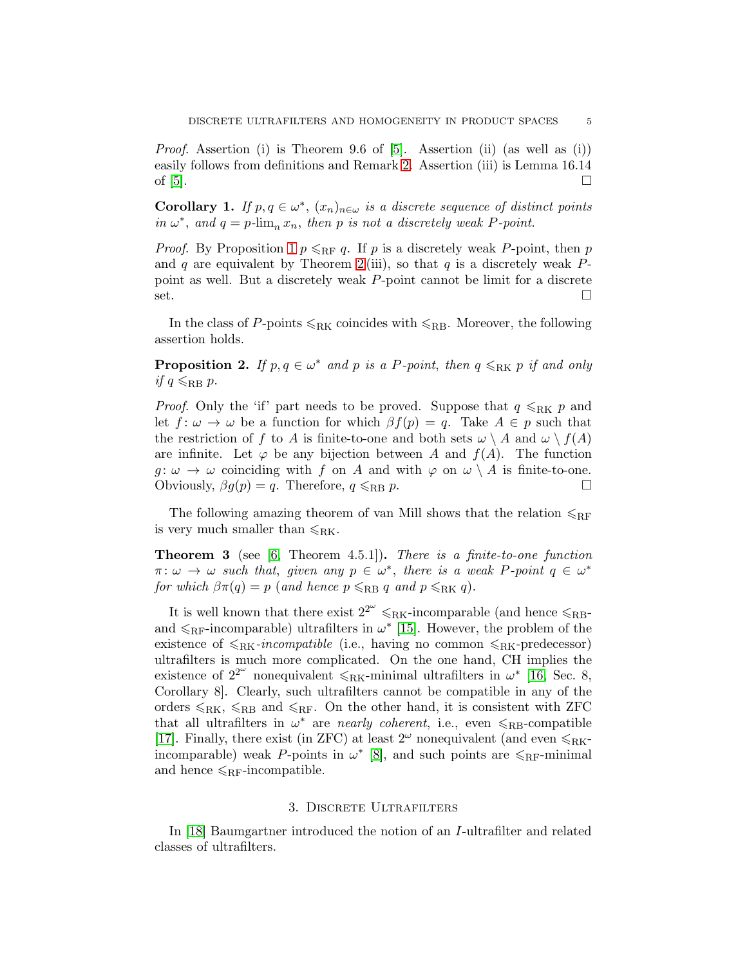*Proof.* Assertion (i) is Theorem 9.6 of  $[5]$ . Assertion (ii) (as well as (i)) easily follows from definitions and Remark [2.](#page-2-0) Assertion (iii) is Lemma 16.14 of  $[5]$ .

<span id="page-4-0"></span>**Corollary 1.** If  $p, q \in \omega^*$ ,  $(x_n)_{n \in \omega}$  is a discrete sequence of distinct points in  $\omega^*$ , and  $q = p$ -lim<sub>n</sub>  $x_n$ , then p is not a discretely weak P-point.

*Proof.* By Proposition [1](#page-3-0)  $p \le RF q$ . If p is a discretely weak P-point, then p and q are equivalent by Theorem [2](#page-3-1) (iii), so that q is a discretely weak  $P$ point as well. But a discretely weak P-point cannot be limit for a discrete set.

In the class of P-points  $\leq_{\rm RK}$  coincides with  $\leq_{\rm RB}$ . Moreover, the following assertion holds.

**Proposition 2.** If  $p, q \in \omega^*$  and p is a P-point, then  $q \leq_{RK} p$  if and only if  $q \leqslant_{\text{RB}} p$ .

*Proof.* Only the 'if' part needs to be proved. Suppose that  $q \leq_{RK} p$  and let  $f: \omega \to \omega$  be a function for which  $\beta f(p) = q$ . Take  $A \in p$  such that the restriction of f to A is finite-to-one and both sets  $\omega \setminus A$  and  $\omega \setminus f(A)$ are infinite. Let  $\varphi$  be any bijection between A and  $f(A)$ . The function  $g: \omega \to \omega$  coinciding with f on A and with  $\varphi$  on  $\omega \setminus A$  is finite-to-one. Obviously,  $\beta g(p) = q$ . Therefore,  $q \leq_{RB} p$ .

The following amazing theorem of van Mill shows that the relation  $\leqslant_{RF}$ is very much smaller than  $\leqslant_{\text{RK}}$ .

**Theorem 3** (see [\[6,](#page-14-5) Theorem 4.5.1]). There is a finite-to-one function  $\pi: \omega \to \omega$  such that, given any  $p \in \omega^*$ , there is a weak P-point  $q \in \omega^*$ for which  $\beta \pi(q) = p$  (and hence  $p \leqslant_{RB} q$  and  $p \leqslant_{RK} q$ ).

It is well known that there exist  $2^{2^{\omega}} \leq R_{\text{K}}$ -incomparable (and hence  $\leq R_{\text{B}}$ and  $\leq_{RF}$ -incomparable) ultrafilters in  $\omega^*$  [\[15\]](#page-14-13). However, the problem of the existence of  $\leq_{\text{RK}}-incompatible$  (i.e., having no common  $\leq_{\text{RK}}-predecessor$ ) ultrafilters is much more complicated. On the one hand, CH implies the existence of  $2^{2^{\omega}}$  nonequivalent  $\leqslant_{\rm RK}$ -minimal ultrafilters in  $\omega^*$  [\[16,](#page-14-14) Sec. 8, Corollary 8]. Clearly, such ultrafilters cannot be compatible in any of the orders  $\leqslant_{\rm RK}$ ,  $\leqslant_{\rm RB}$  and  $\leqslant_{\rm RF}$ . On the other hand, it is consistent with ZFC that all ultrafilters in  $\omega^*$  are *nearly coherent*, i.e., even  $\leq_{RB}$ -compatible [\[17\]](#page-14-15). Finally, there exist (in ZFC) at least  $2^{\omega}$  nonequivalent (and even  $\leq_{\text{RK}}$ incomparable) weak P-points in  $\omega^*$  [\[8\]](#page-14-7), and such points are  $\leq_{\text{RF}}$ -minimal and hence  $\leqslant_{\rm RF}$ -incompatible.

#### 3. Discrete Ultrafilters

In [\[18\]](#page-14-16) Baumgartner introduced the notion of an I-ultrafilter and related classes of ultrafilters.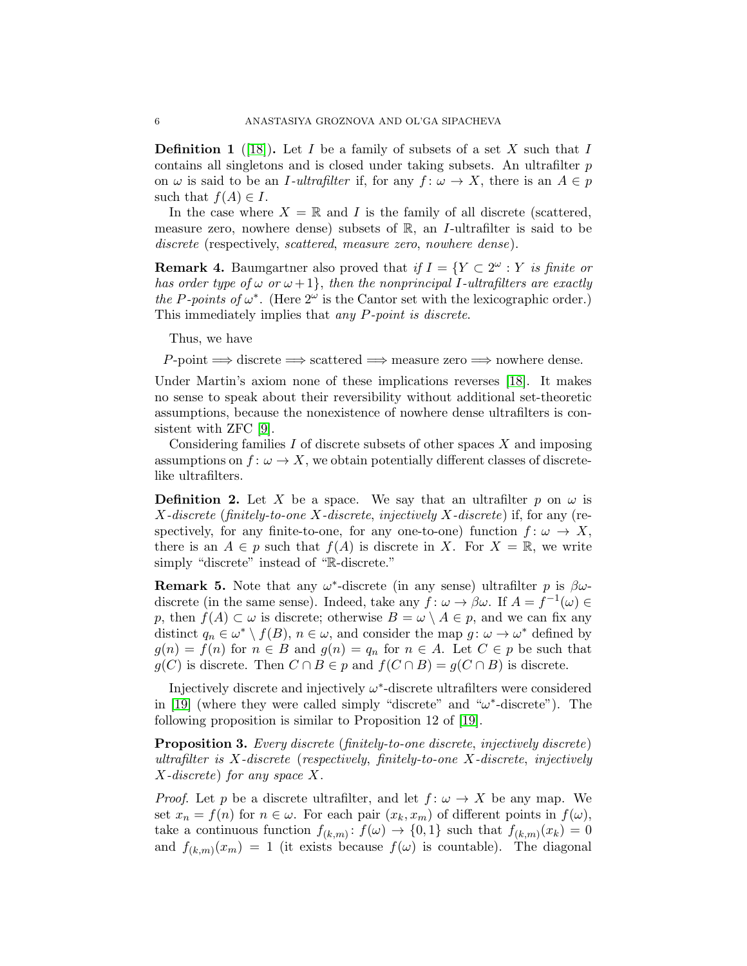**Definition 1** ([\[18\]](#page-14-16)). Let I be a family of subsets of a set X such that I contains all singletons and is closed under taking subsets. An ultrafilter p on  $\omega$  is said to be an *I*-ultrafilter if, for any  $f: \omega \to X$ , there is an  $A \in p$ such that  $f(A) \in I$ .

In the case where  $X = \mathbb{R}$  and I is the family of all discrete (scattered, measure zero, nowhere dense) subsets of  $\mathbb{R}$ , an *I*-ultrafilter is said to be discrete (respectively, scattered, measure zero, nowhere dense).

<span id="page-5-1"></span>**Remark 4.** Baumgartner also proved that if  $I = \{Y \subset 2^{\omega} : Y \text{ is finite or }$ has order type of  $\omega$  or  $\omega + 1$ , then the nonprincipal I-ultrafilters are exactly the P-points of  $\omega^*$ . (Here  $2^{\omega}$  is the Cantor set with the lexicographic order.) This immediately implies that any P-point is discrete.

Thus, we have

 $P\text{-point} \Longrightarrow \text{discrete} \Longrightarrow \text{scattered} \Longrightarrow \text{measure zero} \Longrightarrow \text{nowhere dense}.$ 

Under Martin's axiom none of these implications reverses [\[18\]](#page-14-16). It makes no sense to speak about their reversibility without additional set-theoretic assumptions, because the nonexistence of nowhere dense ultrafilters is consistent with ZFC [\[9\]](#page-14-8).

Considering families  $I$  of discrete subsets of other spaces  $X$  and imposing assumptions on  $f: \omega \to X$ , we obtain potentially different classes of discretelike ultrafilters.

**Definition 2.** Let X be a space. We say that an ultrafilter p on  $\omega$  is  $X$ -discrete (finitely-to-one X-discrete, injectively X-discrete) if, for any (respectively, for any finite-to-one, for any one-to-one) function  $f: \omega \to X$ , there is an  $A \in p$  such that  $f(A)$  is discrete in X. For  $X = \mathbb{R}$ , we write simply "discrete" instead of "R-discrete."

<span id="page-5-0"></span>**Remark 5.** Note that any  $\omega^*$ -discrete (in any sense) ultrafilter p is  $\beta\omega$ discrete (in the same sense). Indeed, take any  $\hat{f}$ :  $\omega \to \beta \omega$ . If  $A = \hat{f}^{-1}(\omega) \in$ p, then  $f(A) \subset \omega$  is discrete; otherwise  $B = \omega \setminus A \in p$ , and we can fix any distinct  $q_n \in \omega^* \setminus f(B)$ ,  $n \in \omega$ , and consider the map  $g: \omega \to \omega^*$  defined by  $g(n) = f(n)$  for  $n \in B$  and  $g(n) = q_n$  for  $n \in A$ . Let  $C \in p$  be such that  $g(C)$  is discrete. Then  $C \cap B \in p$  and  $f(C \cap B) = g(C \cap B)$  is discrete.

Injectively discrete and injectively  $\omega^*$ -discrete ultrafilters were considered in [\[19\]](#page-14-17) (where they were called simply "discrete" and " $\omega^*$ -discrete"). The following proposition is similar to Proposition 12 of [\[19\]](#page-14-17).

Proposition 3. Every discrete (finitely-to-one discrete, injectively discrete) ultrafilter is X-discrete (respectively, finitely-to-one X-discrete, injectively X-discrete) for any space X.

*Proof.* Let p be a discrete ultrafilter, and let  $f: \omega \to X$  be any map. We set  $x_n = f(n)$  for  $n \in \omega$ . For each pair  $(x_k, x_m)$  of different points in  $f(\omega)$ , take a continuous function  $f_{(k,m)}: f(\omega) \to \{0,1\}$  such that  $f_{(k,m)}(x_k) = 0$ and  $f_{(k,m)}(x_m) = 1$  (it exists because  $f(\omega)$  is countable). The diagonal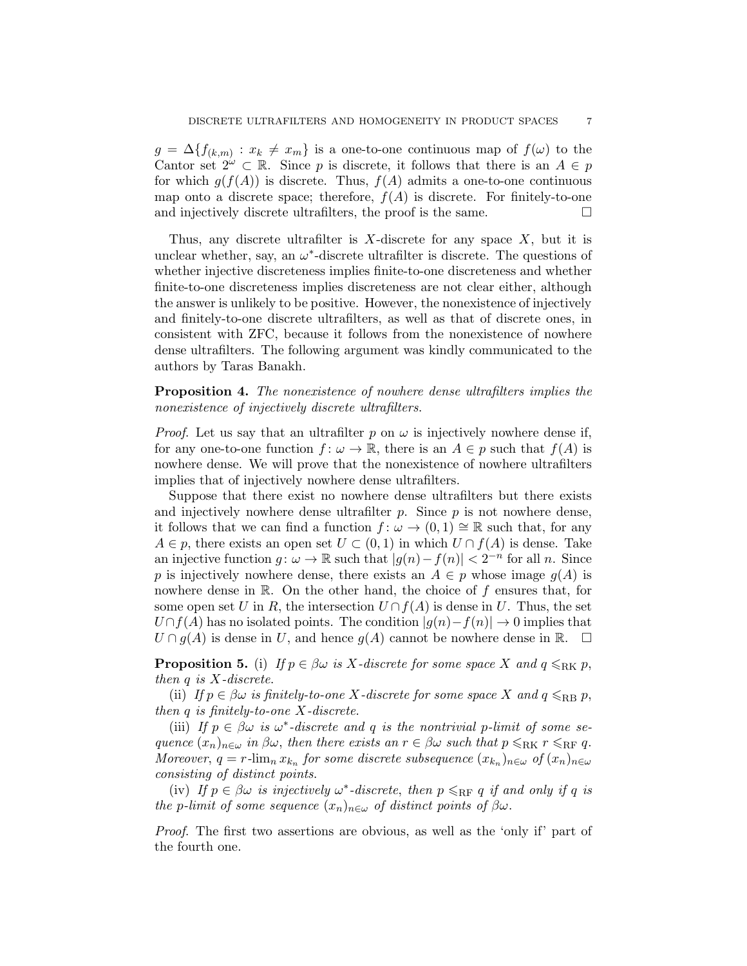$g = \Delta \{f_{(k,m)} : x_k \neq x_m\}$  is a one-to-one continuous map of  $f(\omega)$  to the Cantor set  $2^{\omega} \subset \mathbb{R}$ . Since p is discrete, it follows that there is an  $A \in p$ for which  $g(f(A))$  is discrete. Thus,  $f(A)$  admits a one-to-one continuous map onto a discrete space; therefore,  $f(A)$  is discrete. For finitely-to-one and injectively discrete ultrafilters, the proof is the same.  $\Box$ 

Thus, any discrete ultrafilter is X-discrete for any space  $X$ , but it is unclear whether, say, an  $\omega^*$ -discrete ultrafilter is discrete. The questions of whether injective discreteness implies finite-to-one discreteness and whether finite-to-one discreteness implies discreteness are not clear either, although the answer is unlikely to be positive. However, the nonexistence of injectively and finitely-to-one discrete ultrafilters, as well as that of discrete ones, in consistent with ZFC, because it follows from the nonexistence of nowhere dense ultrafilters. The following argument was kindly communicated to the authors by Taras Banakh.

Proposition 4. The nonexistence of nowhere dense ultrafilters implies the nonexistence of injectively discrete ultrafilters.

*Proof.* Let us say that an ultrafilter p on  $\omega$  is injectively nowhere dense if, for any one-to-one function  $f: \omega \to \mathbb{R}$ , there is an  $A \in p$  such that  $f(A)$  is nowhere dense. We will prove that the nonexistence of nowhere ultrafilters implies that of injectively nowhere dense ultrafilters.

Suppose that there exist no nowhere dense ultrafilters but there exists and injectively nowhere dense ultrafilter  $p$ . Since  $p$  is not nowhere dense, it follows that we can find a function  $f: \omega \to (0,1) \cong \mathbb{R}$  such that, for any  $A \in p$ , there exists an open set  $U \subset (0,1)$  in which  $U \cap f(A)$  is dense. Take an injective function  $g: \omega \to \mathbb{R}$  such that  $|g(n)-f(n)| < 2^{-n}$  for all n. Since p is injectively nowhere dense, there exists an  $A \in p$  whose image  $g(A)$  is nowhere dense in  $\mathbb R$ . On the other hand, the choice of  $f$  ensures that, for some open set U in R, the intersection  $U \cap f(A)$  is dense in U. Thus, the set  $U\cap f(A)$  has no isolated points. The condition  $|g(n)-f(n)|\to 0$  implies that  $U \cap g(A)$  is dense in U, and hence  $g(A)$  cannot be nowhere dense in  $\mathbb{R}$ .  $\Box$ 

<span id="page-6-0"></span>**Proposition 5.** (i) If  $p \in \beta \omega$  is X-discrete for some space X and  $q \leq_{\text{RK}} p$ , then  $q$  is  $X$ -discrete.

(ii) If  $p \in \beta \omega$  is finitely-to-one X-discrete for some space X and  $q \leqslant_{\text{RB}} p$ , then  $q$  is finitely-to-one  $X$ -discrete.

(iii) If  $p \in \beta \omega$  is  $\omega^*$ -discrete and q is the nontrivial p-limit of some sequence  $(x_n)_{n\in\omega}$  in  $\beta\omega$ , then there exists an  $r\in\beta\omega$  such that  $p\leqslant_{\rm RK} r\leqslant_{\rm RF} q$ . Moreover,  $q = r$ - $\lim_{n} x_{k_n}$  for some discrete subsequence  $(x_{k_n})_{n \in \omega}$  of  $(x_n)_{n \in \omega}$ consisting of distinct points.

(iv) If  $p \in \beta \omega$  is injectively  $\omega^*$ -discrete, then  $p \leqslant_{\text{RF}} q$  if and only if q is the p-limit of some sequence  $(x_n)_{n\in\omega}$  of distinct points of  $\beta\omega$ .

Proof. The first two assertions are obvious, as well as the 'only if' part of the fourth one.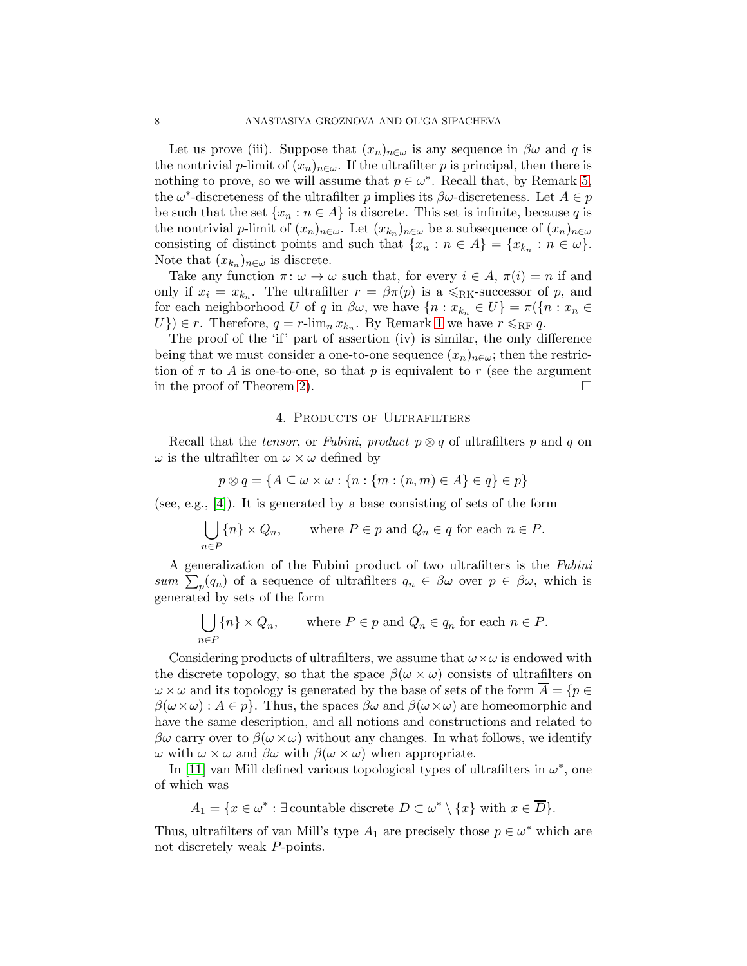Let us prove (iii). Suppose that  $(x_n)_{n\in\omega}$  is any sequence in  $\beta\omega$  and q is the nontrivial p-limit of  $(x_n)_{n\in\omega}$ . If the ultrafilter p is principal, then there is nothing to prove, so we will assume that  $p \in \omega^*$ . Recall that, by Remark [5,](#page-5-0) the  $\omega^*$ -discreteness of the ultrafilter p implies its  $\beta\omega$ -discreteness. Let  $A \in p$ be such that the set  $\{x_n : n \in A\}$  is discrete. This set is infinite, because q is the nontrivial *p*-limit of  $(x_n)_{n \in \omega}$ . Let  $(x_{k_n})_{n \in \omega}$  be a subsequence of  $(x_n)_{n \in \omega}$ consisting of distinct points and such that  $\{x_n : n \in A\} = \{x_{k_n} : n \in \omega\}.$ Note that  $(x_{k_n})_{n\in\omega}$  is discrete.

Take any function  $\pi: \omega \to \omega$  such that, for every  $i \in A$ ,  $\pi(i) = n$  if and only if  $x_i = x_{k_n}$ . The ultrafilter  $r = \beta \pi(p)$  is a  $\leq R<sub>K</sub>$ -successor of p, and for each neighborhood U of q in  $\beta\omega$ , we have  $\{n : x_{k_n} \in U\} = \pi(\{n : x_n \in$  $U$ })  $\in$  r. Therefore,  $q = r$ -lim<sub>n</sub>  $x_{k_n}$ . By Remark [1](#page-1-0) we have  $r \leq RF$  q.

The proof of the 'if' part of assertion (iv) is similar, the only difference being that we must consider a one-to-one sequence  $(x_n)_{n\in\omega}$ ; then the restriction of  $\pi$  to A is one-to-one, so that p is equivalent to r (see the argument in the proof of Theorem [2\)](#page-3-1).  $\Box$ 

#### 4. Products of Ultrafilters

Recall that the *tensor*, or Fubini, product  $p \otimes q$  of ultrafilters p and q on  $\omega$  is the ultrafilter on  $\omega \times \omega$  defined by

$$
p \otimes q = \{ A \subseteq \omega \times \omega : \{ n : \{ m : (n, m) \in A \} \in q \} \in p \}
$$

(see, e.g., [\[4\]](#page-14-3)). It is generated by a base consisting of sets of the form

$$
\bigcup_{n \in P} \{n\} \times Q_n, \quad \text{where } P \in p \text{ and } Q_n \in q \text{ for each } n \in P.
$$

A generalization of the Fubini product of two ultrafilters is the Fubini sum  $\sum_p(q_n)$  of a sequence of ultrafilters  $q_n \in \beta \omega$  over  $p \in \beta \omega$ , which is generated by sets of the form

$$
\bigcup_{n \in P} \{n\} \times Q_n, \quad \text{where } P \in p \text{ and } Q_n \in q_n \text{ for each } n \in P.
$$

Considering products of ultrafilters, we assume that  $\omega \times \omega$  is endowed with the discrete topology, so that the space  $\beta(\omega \times \omega)$  consists of ultrafilters on  $\omega \times \omega$  and its topology is generated by the base of sets of the form  $\overline{A} = \{p \in \mathbb{R}^n : p \in \mathbb{R}^n\}$  $\beta(\omega\times\omega): A\in\mathbb{R}$ . Thus, the spaces  $\beta\omega$  and  $\beta(\omega\times\omega)$  are homeomorphic and have the same description, and all notions and constructions and related to  $\beta\omega$  carry over to  $\beta(\omega\times\omega)$  without any changes. In what follows, we identify  $ω$  with  $ω \times ω$  and  $βω$  with  $β(ω \times ω)$  when appropriate.

In [\[11\]](#page-14-10) van Mill defined various topological types of ultrafilters in  $\omega^*$ , one of which was

 $A_1 = \{x \in \omega^* : \exists \text{countable discrete } D \subset \omega^* \setminus \{x\} \text{ with } x \in \overline{D}\}.$ 

Thus, ultrafilters of van Mill's type  $A_1$  are precisely those  $p \in \omega^*$  which are not discretely weak P-points.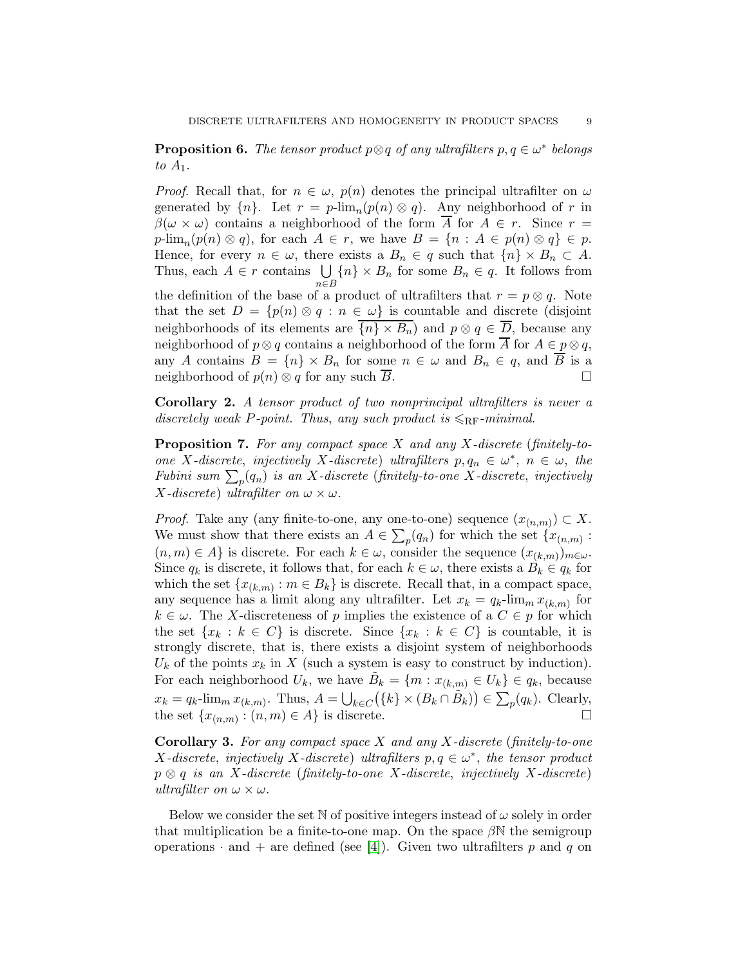**Proposition 6.** The tensor product  $p \otimes q$  of any ultrafilters  $p, q \in \omega^*$  belongs to  $A_1$ .

*Proof.* Recall that, for  $n \in \omega$ ,  $p(n)$  denotes the principal ultrafilter on  $\omega$ generated by  $\{n\}$ . Let  $r = p\text{-lim}_n(p(n) \otimes q)$ . Any neighborhood of r in  $\beta(\omega \times \omega)$  contains a neighborhood of the form  $\overline{A}$  for  $A \in r$ . Since  $r =$  $p\text{-lim}_n(p(n) \otimes q)$ , for each  $A \in r$ , we have  $B = \{n : A \in p(n) \otimes q\} \in p$ . Hence, for every  $n \in \omega$ , there exists a  $B_n \in q$  such that  $\{n\} \times B_n \subset A$ . Thus, each  $A \in r$  contains  $\bigcup$ n∈B  ${n} \times B_n$  for some  $B_n \in q$ . It follows from the definition of the base of a product of ultrafilters that  $r = p \otimes q$ . Note that the set  $D = \{p(n) \otimes q : n \in \omega\}$  is countable and discrete (disjoint neighborhoods of its elements are  $\{n\} \times B_n$  and  $p \otimes q \in \overline{D}$ , because any neighborhood of  $p \otimes q$  contains a neighborhood of the form  $\overline{A}$  for  $A \in p \otimes q$ , any A contains  $B = \{n\} \times B_n$  for some  $n \in \omega$  and  $B_n \in q$ , and  $\overline{B}$  is a neighborhood of  $p(n) \otimes q$  for any such  $\overline{B}$ .

Corollary 2. A tensor product of two nonprincipal ultrafilters is never a discretely weak P-point. Thus, any such product is  $\leqslant_{\rm RF}$ -minimal.

**Proposition 7.** For any compact space  $X$  and any  $X$ -discrete (finitely-toone X-discrete, injectively X-discrete) ultrafilters  $p, q_n \in \omega^*, n \in \omega$ , the Fubini sum  $\sum_p(q_n)$  is an X-discrete (finitely-to-one X-discrete, injectively X-discrete) ultrafilter on  $\omega \times \omega$ .

*Proof.* Take any (any finite-to-one, any one-to-one) sequence  $(x_{(n,m)}) \subset X$ . We must show that there exists an  $A \in \sum_{p}(q_n)$  for which the set  $\{x_{(n,m)} :$  $(n, m) \in A$  is discrete. For each  $k \in \omega$ , consider the sequence  $(x_{(k,m)})_{m \in \omega}$ . Since  $q_k$  is discrete, it follows that, for each  $k \in \omega$ , there exists a  $B_k \in q_k$  for which the set  $\{x_{(k,m)} : m \in B_k\}$  is discrete. Recall that, in a compact space, any sequence has a limit along any ultrafilter. Let  $x_k = q_k$ -lim<sub>m</sub>  $x_{(k,m)}$  for  $k \in \omega$ . The X-discreteness of p implies the existence of a  $C \in p$  for which the set  $\{x_k : k \in C\}$  is discrete. Since  $\{x_k : k \in C\}$  is countable, it is strongly discrete, that is, there exists a disjoint system of neighborhoods  $U_k$  of the points  $x_k$  in X (such a system is easy to construct by induction). For each neighborhood  $U_k$ , we have  $\tilde{B}_k = \{m : x_{(k,m)} \in U_k\} \in q_k$ , because  $x_k = q_k$ -lim<sub>m</sub>  $x_{(k,m)}$ . Thus,  $A = \bigcup_{k \in C} (\{k\} \times (B_k \cap \tilde{B}_k)) \in \sum_p (q_k)$ . Clearly, the set  $\{x_{(n,m)} : (n,m) \in A\}$  is discrete.

**Corollary 3.** For any compact space  $X$  and any  $X$ -discrete (finitely-to-one X-discrete, injectively X-discrete) ultrafilters  $p, q \in \omega^*$ , the tensor product  $p \otimes q$  is an X-discrete (finitely-to-one X-discrete, injectively X-discrete) ultrafilter on  $\omega \times \omega$ .

Below we consider the set N of positive integers instead of  $\omega$  solely in order that multiplication be a finite-to-one map. On the space  $\beta N$  the semigroup operations  $\cdot$  and  $+$  are defined (see [\[4\]](#page-14-3)). Given two ultrafilters p and q on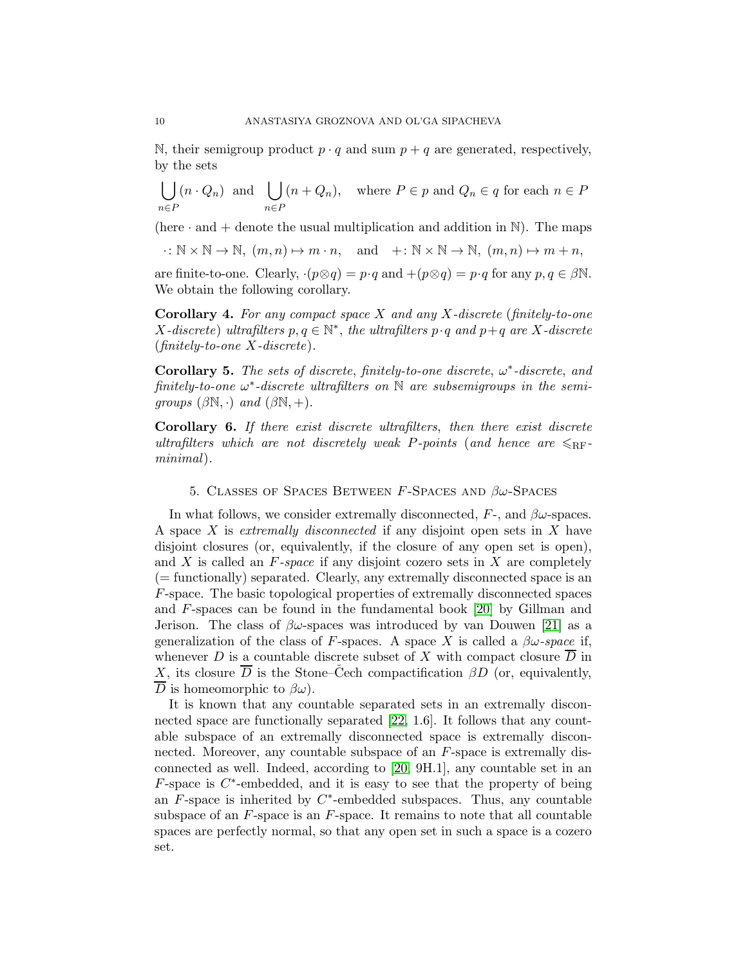N, their semigroup product  $p \cdot q$  and sum  $p + q$  are generated, respectively, by the sets

$$
\bigcup_{n \in P} (n \cdot Q_n) \text{ and } \bigcup_{n \in P} (n + Q_n), \text{ where } P \in p \text{ and } Q_n \in q \text{ for each } n \in P
$$

(here  $\cdot$  and  $+$  denote the usual multiplication and addition in N). The maps

 $\cdot: \mathbb{N} \times \mathbb{N} \to \mathbb{N}, \ (m, n) \mapsto m \cdot n, \text{ and } +: \mathbb{N} \times \mathbb{N} \to \mathbb{N}, \ (m, n) \mapsto m + n,$ 

are finite-to-one. Clearly,  $\cdot (p \otimes q) = p \cdot q$  and  $+(p \otimes q) = p \cdot q$  for any  $p, q \in \beta \mathbb{N}$ . We obtain the following corollary.

**Corollary 4.** For any compact space  $X$  and any  $X$ -discrete (finitely-to-one X-discrete) ultrafilters  $p, q \in \mathbb{N}^*$ , the ultrafilters  $p \cdot q$  and  $p + q$  are X-discrete  $(finitely-to-one X-discrete).$ 

Corollary 5. The sets of discrete, finitely-to-one discrete,  $\omega^*$ -discrete, and  $\emph{finitely-to-one} \omega^*$ -discrete ultrafilters on  $\mathbb N$  are subsemigroups in the semigroups  $(\beta \mathbb{N}, \cdot)$  and  $(\beta \mathbb{N}, +)$ .

Corollary 6. If there exist discrete ultrafilters, then there exist discrete ultrafilters which are not discretely weak P-points (and hence are  $\leq_{\text{RF}}$ minimal).

### 5. CLASSES OF SPACES BETWEEN F-SPACES AND  $\beta\omega$ -Spaces

In what follows, we consider extremally disconnected,  $F$ -, and  $\beta\omega$ -spaces. A space X is extremally disconnected if any disjoint open sets in  $X$  have disjoint closures (or, equivalently, if the closure of any open set is open), and  $X$  is called an  $F$ -space if any disjoint cozero sets in  $X$  are completely (= functionally) separated. Clearly, any extremally disconnected space is an F-space. The basic topological properties of extremally disconnected spaces and F-spaces can be found in the fundamental book [\[20\]](#page-14-18) by Gillman and Jerison. The class of  $\beta\omega$ -spaces was introduced by van Douwen [\[21\]](#page-14-19) as a generalization of the class of F-spaces. A space X is called a  $\beta\omega$ -space if, whenever D is a countable discrete subset of X with compact closure  $\overline{D}$  in X, its closure  $\overline{D}$  is the Stone–Čech compactification  $\beta D$  (or, equivalently,  $\overline{D}$  is homeomorphic to  $\beta\omega$ ).

It is known that any countable separated sets in an extremally disconnected space are functionally separated [\[22,](#page-14-20) 1.6]. It follows that any countable subspace of an extremally disconnected space is extremally disconnected. Moreover, any countable subspace of an F-space is extremally disconnected as well. Indeed, according to [\[20,](#page-14-18) 9H.1], any countable set in an  $F$ -space is  $C^*$ -embedded, and it is easy to see that the property of being an  $\overline{F}$ -space is inherited by  $C^*$ -embedded subspaces. Thus, any countable subspace of an  $F$ -space is an  $F$ -space. It remains to note that all countable spaces are perfectly normal, so that any open set in such a space is a cozero set.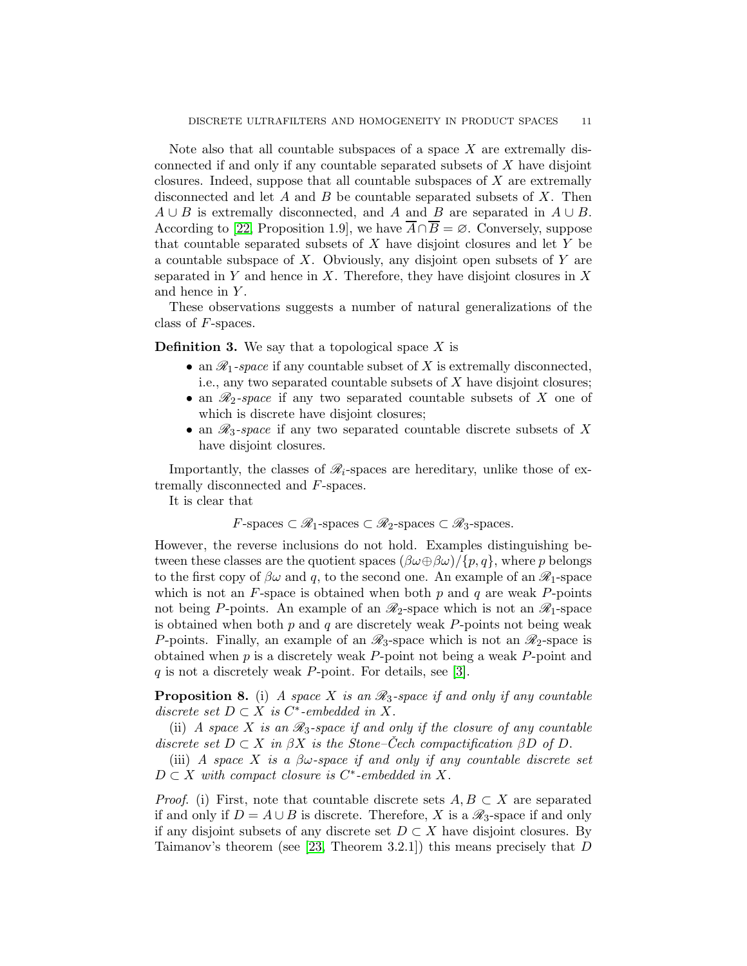Note also that all countable subspaces of a space  $X$  are extremally disconnected if and only if any countable separated subsets of X have disjoint closures. Indeed, suppose that all countable subspaces of  $X$  are extremally disconnected and let  $A$  and  $B$  be countable separated subsets of  $X$ . Then  $A \cup B$  is extremally disconnected, and A and B are separated in  $A \cup B$ . According to [\[22,](#page-14-20) Proposition 1.9], we have  $A \cap B = \emptyset$ . Conversely, suppose that countable separated subsets of  $X$  have disjoint closures and let  $Y$  be a countable subspace of X. Obviously, any disjoint open subsets of  $Y$  are separated in Y and hence in X. Therefore, they have disjoint closures in X and hence in Y.

These observations suggests a number of natural generalizations of the class of F-spaces.

**Definition 3.** We say that a topological space  $X$  is

- an  $\mathcal{R}_1$ -space if any countable subset of X is extremally disconnected, i.e., any two separated countable subsets of  $X$  have disjoint closures;
- an  $\mathcal{R}_2$ -space if any two separated countable subsets of X one of which is discrete have disjoint closures;
- an  $\mathcal{R}_3$ -space if any two separated countable discrete subsets of X have disjoint closures.

Importantly, the classes of  $\mathcal{R}_i$ -spaces are hereditary, unlike those of extremally disconnected and F-spaces.

It is clear that

$$
F\text{-spaces} \subset \mathcal{R}_1\text{-spaces} \subset \mathcal{R}_2\text{-spaces} \subset \mathcal{R}_3\text{-spaces}.
$$

However, the reverse inclusions do not hold. Examples distinguishing between these classes are the quotient spaces  $(\beta\omega\oplus\beta\omega)/\{p,q\}$ , where p belongs to the first copy of  $\beta\omega$  and q, to the second one. An example of an  $\mathscr{R}_1$ -space which is not an  $F$ -space is obtained when both  $p$  and  $q$  are weak  $P$ -points not being P-points. An example of an  $\mathcal{R}_2$ -space which is not an  $\mathcal{R}_1$ -space is obtained when both  $p$  and  $q$  are discretely weak  $P$ -points not being weak P-points. Finally, an example of an  $\mathscr{R}_3$ -space which is not an  $\mathscr{R}_2$ -space is obtained when  $p$  is a discretely weak  $P$ -point not being a weak  $P$ -point and q is not a discretely weak P-point. For details, see [\[3\]](#page-14-2).

**Proposition 8.** (i) A space X is an  $\mathcal{R}_3$ -space if and only if any countable discrete set  $D \subset X$  is  $C^*$ -embedded in X.

(ii) A space X is an  $\mathcal{R}_3$ -space if and only if the closure of any countable discrete set  $D \subset X$  in  $\beta X$  is the Stone–Cech compactification  $\beta D$  of D.

(iii) A space X is a  $\beta\omega$ -space if and only if any countable discrete set  $D \subset X$  with compact closure is  $C^*$ -embedded in X.

*Proof.* (i) First, note that countable discrete sets  $A, B \subset X$  are separated if and only if  $D = A \cup B$  is discrete. Therefore, X is a  $\mathcal{R}_3$ -space if and only if any disjoint subsets of any discrete set  $D \subset X$  have disjoint closures. By Taimanov's theorem (see  $[23,$  Theorem 3.2.1]) this means precisely that  $D$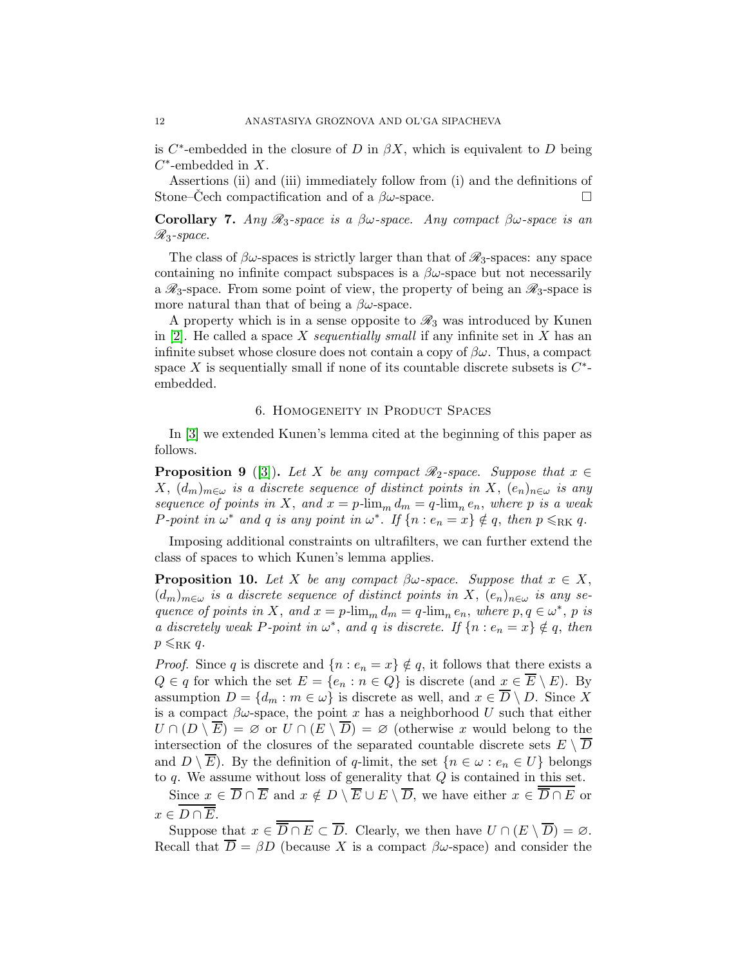is  $C^*$ -embedded in the closure of D in  $\beta X$ , which is equivalent to D being  $C^*$ -embedded in X.

Assertions (ii) and (iii) immediately follow from (i) and the definitions of Stone–Cech compactification and of a  $\beta\omega$ -space.

Corollary 7. Any  $\mathcal{R}_3$ -space is a  $\beta\omega$ -space. Any compact  $\beta\omega$ -space is an  $\mathcal{R}_3$ -space.

The class of  $\beta\omega$ -spaces is strictly larger than that of  $\mathscr{R}_3$ -spaces: any space containing no infinite compact subspaces is a  $\beta\omega$ -space but not necessarily a  $\mathcal{R}_3$ -space. From some point of view, the property of being an  $\mathcal{R}_3$ -space is more natural than that of being a  $\beta\omega$ -space.

A property which is in a sense opposite to  $\mathscr{R}_3$  was introduced by Kunen in  $[2]$ . He called a space X sequentially small if any infinite set in X has an infinite subset whose closure does not contain a copy of  $\beta\omega$ . Thus, a compact space X is sequentially small if none of its countable discrete subsets is  $C^*$ embedded.

### 6. Homogeneity in Product Spaces

In [\[3\]](#page-14-2) we extended Kunen's lemma cited at the beginning of this paper as follows.

<span id="page-11-1"></span>**Proposition 9** ([\[3\]](#page-14-2)). Let X be any compact  $\mathcal{R}_2$ -space. Suppose that  $x \in$  $X, (d_m)_{m \in \omega}$  is a discrete sequence of distinct points in X,  $(e_n)_{n \in \omega}$  is any sequence of points in X, and  $x = p\cdot \lim_m d_m = q\cdot \lim_n e_n$ , where p is a weak P-point in  $\omega^*$  and q is any point in  $\omega^*$ . If  $\{n : e_n = x\} \notin q$ , then  $p \le RK q$ .

Imposing additional constraints on ultrafilters, we can further extend the class of spaces to which Kunen's lemma applies.

<span id="page-11-0"></span>**Proposition 10.** Let X be any compact  $\beta\omega$ -space. Suppose that  $x \in X$ ,  $(d_m)_{m\in\omega}$  is a discrete sequence of distinct points in X,  $(e_n)_{n\in\omega}$  is any sequence of points in X, and  $x = p$ -lim<sub>m</sub>  $d_m = q$ -lim<sub>n</sub>  $e_n$ , where  $p, q \in \omega^*$ , p is a discretely weak P-point in  $\omega^*$ , and q is discrete. If  $\{n : e_n = x\} \notin q$ , then  $p \le RK q$ .

*Proof.* Since q is discrete and  $\{n : e_n = x\} \notin q$ , it follows that there exists a  $Q \in q$  for which the set  $E = \{e_n : n \in Q\}$  is discrete (and  $x \in \overline{E} \setminus E$ ). By assumption  $D = \{d_m : m \in \omega\}$  is discrete as well, and  $x \in \overline{D} \setminus D$ . Since X is a compact  $\beta\omega$ -space, the point x has a neighborhood U such that either  $U \cap (D \setminus E) = \emptyset$  or  $U \cap (E \setminus D) = \emptyset$  (otherwise x would belong to the intersection of the closures of the separated countable discrete sets  $E \setminus \overline{D}$ and  $D \setminus \overline{E}$ . By the definition of q-limit, the set  $\{n \in \omega : e_n \in U\}$  belongs to  $q$ . We assume without loss of generality that  $Q$  is contained in this set.

Since  $x \in \overline{D} \cap \overline{E}$  and  $x \notin D \setminus \overline{E} \cup E \setminus \overline{D}$ , we have either  $x \in \overline{D} \cap E$  or  $x \in \overline{D \cap E}$ .

Suppose that  $x \in \overline{D \cap E} \subset \overline{D}$ . Clearly, we then have  $U \cap (E \setminus \overline{D}) = \emptyset$ . Recall that  $\overline{D} = \beta D$  (because X is a compact  $\beta \omega$ -space) and consider the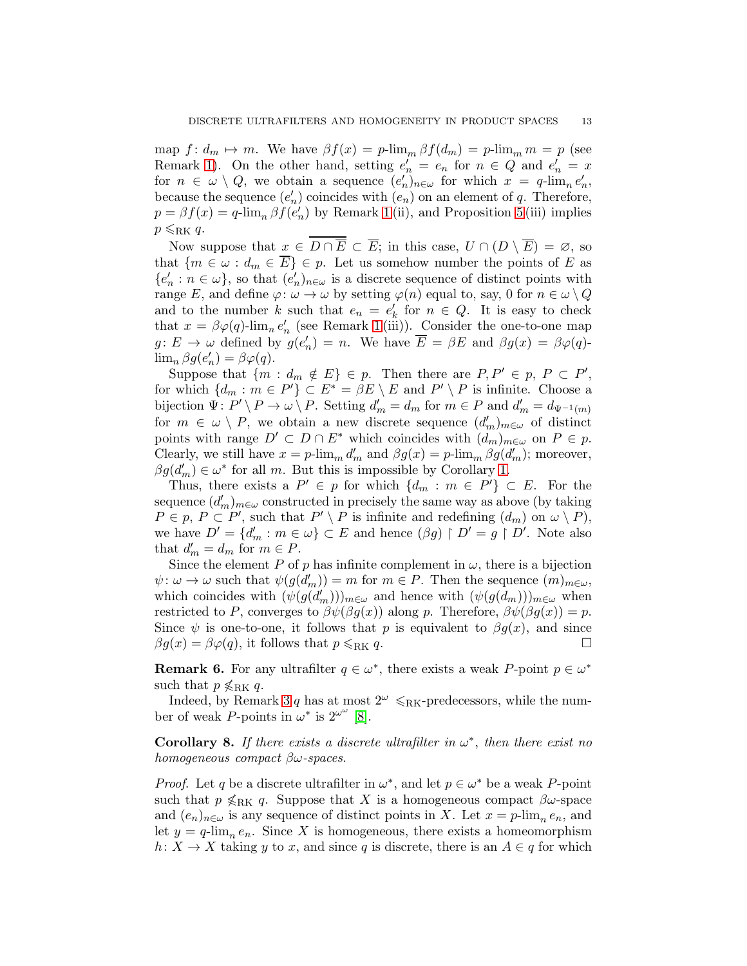map  $f: d_m \mapsto m$ . We have  $\beta f(x) = p\cdot \lim_m \beta f(d_m) = p\cdot \lim_m m = p$  (see Remark [1\)](#page-1-0). On the other hand, setting  $e'_n = e_n$  for  $n \in Q$  and  $e'_n = x$ for  $n \in \omega \setminus Q$ , we obtain a sequence  $(e_n')_{n \in \omega}$  for which  $x = q$ -lim<sub>n</sub> $e_n'$ , because the sequence  $(e'_n)$  coincides with  $(e_n)$  on an element of q. Therefore,  $p = \beta f(x) = q$ -lim<sub>n</sub>  $\beta f(e'_n)$  by Remark [1](#page-1-0) (ii), and Proposition [5](#page-6-0) (iii) implies  $p \leq RK q$ .

Now suppose that  $x \in D \cap \overline{E} \subset \overline{E}$ ; in this case,  $U \cap (D \setminus \overline{E}) = \emptyset$ , so that  $\{m \in \omega : d_m \in \overline{E}\}\in p$ . Let us somehow number the points of E as  ${e'_n : n \in \omega}$ , so that  $(e'_n)_{n \in \omega}$  is a discrete sequence of distinct points with range E, and define  $\varphi: \omega \to \omega$  by setting  $\varphi(n)$  equal to, say, 0 for  $n \in \omega \setminus Q$ and to the number k such that  $e_n = e'_n$  $\frac{1}{k}$  for  $n \in Q$ . It is easy to check that  $x = \beta \varphi(q)$ -lim<sub>n</sub>  $e'_n$  (see Remark [1](#page-1-0)(iii)). Consider the one-to-one map  $g: E \to \omega$  defined by  $g(e'_n) = n$ . We have  $\overline{E} = \beta E$  and  $\beta g(x) = \beta \varphi(q)$ - $\lim_{n} \beta g(e'_n) = \beta \varphi(q).$ 

Suppose that  $\{m : d_m \notin E\} \in p$ . Then there are  $P, P' \in p, P \subset P'$ , for which  $\{d_m : m \in P'\} \subset E^* = \beta E \setminus E$  and  $P' \setminus P$  is infinite. Choose a bijection  $\Psi: P' \setminus P \to \omega \setminus P$ . Setting  $d'_m = d_m$  for  $m \in P$  and  $d'_m = d_{\Psi^{-1}(m)}$ for  $m \in \omega \setminus P$ , we obtain a new discrete sequence  $(d'_m)_{m \in \omega}$  of distinct points with range  $D' \subset D \cap E^*$  which coincides with  $(d_m)_{m \in \omega}$  on  $P \in p$ . Clearly, we still have  $x = p\text{-lim}_{m} d'_{m}$  and  $\beta g(x) = p\text{-lim}_{m} \beta g(d'_{m})$ ; moreover,  $\beta g(d'_m) \in \omega^*$  for all m. But this is impossible by Corollary [1.](#page-4-0)

Thus, there exists a  $P' \in p$  for which  $\{d_m : m \in P'\} \subset E$ . For the sequence  $(d'_m)_{m\in\omega}$  constructed in precisely the same way as above (by taking  $P \in p, P \subset P'$ , such that  $P' \setminus P$  is infinite and redefining  $(d_m)$  on  $\omega \setminus P$ ), we have  $D' = \{d'_m : m \in \omega\} \subset E$  and hence  $(\beta g) \upharpoonright D' = g \upharpoonright D'$ . Note also that  $d'_m = d_m$  for  $m \in P$ .

Since the element P of p has infinite complement in  $\omega$ , there is a bijection  $\psi: \omega \to \omega$  such that  $\psi(g(\overline{d}'_m)) = m$  for  $m \in P$ . Then the sequence  $(m)_{m \in \omega}$ , which coincides with  $(\psi(g(d'_m)))_{m\in\omega}$  and hence with  $(\psi(g(d_m)))_{m\in\omega}$  when restricted to P, converges to  $\beta \psi(\beta g(x))$  along p. Therefore,  $\beta \psi(\beta g(x)) = p$ . Since  $\psi$  is one-to-one, it follows that p is equivalent to  $\beta g(x)$ , and since  $\beta g(x) = \beta \varphi(q)$ , it follows that  $p \le RK q$ .

**Remark 6.** For any ultrafilter  $q \in \omega^*$ , there exists a weak P-point  $p \in \omega^*$ such that  $p \nless_{\text{RK}} q$ .

Indeed, by Remark [3](#page-3-2) q has at most  $2^{\omega} \le R<sub>KK</sub>$ -predecessors, while the number of weak P-points in  $\omega^*$  is  $2^{\omega^{\omega}}$  [\[8\]](#page-14-7).

Corollary 8. If there exists a discrete ultrafilter in  $\omega^*$ , then there exist no homogeneous compact  $\beta\omega$ -spaces.

*Proof.* Let q be a discrete ultrafilter in  $\omega^*$ , and let  $p \in \omega^*$  be a weak P-point such that  $p \nless_{RK} q$ . Suppose that X is a homogeneous compact  $\beta\omega$ -space and  $(e_n)_{n \in \omega}$  is any sequence of distinct points in X. Let  $x = p$ -lim<sub>n</sub>  $e_n$ , and let  $y = q$ -lim<sub>n</sub>  $e_n$ . Since X is homogeneous, there exists a homeomorphism  $h: X \to X$  taking y to x, and since q is discrete, there is an  $A \in q$  for which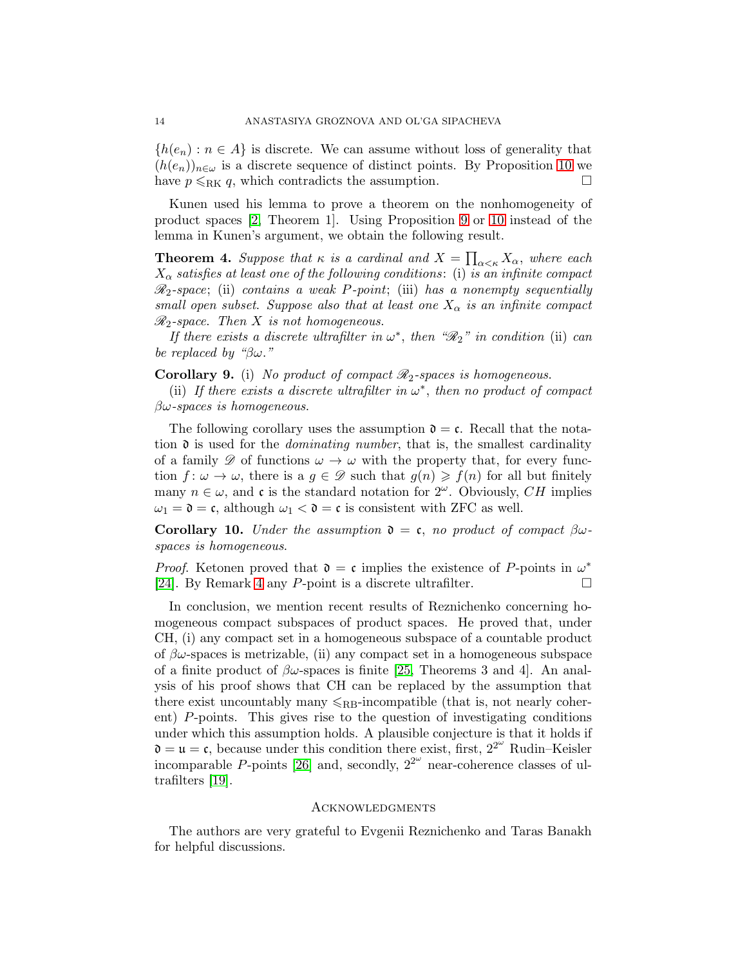${h(e_n) : n \in A}$  is discrete. We can assume without loss of generality that  $(h(e_n))_{n\in\omega}$  is a discrete sequence of distinct points. By Proposition [10](#page-11-0) we have  $p \le RK q$ , which contradicts the assumption.

Kunen used his lemma to prove a theorem on the nonhomogeneity of product spaces [\[2,](#page-14-1) Theorem 1]. Using Proposition [9](#page-11-1) or [10](#page-11-0) instead of the lemma in Kunen's argument, we obtain the following result.

**Theorem 4.** Suppose that  $\kappa$  is a cardinal and  $X = \prod_{\alpha<\kappa} X_{\alpha}$ , where each  $X_{\alpha}$  satisfies at least one of the following conditions: (i) is an infinite compact  $\mathcal{R}_2$ -space; (ii) contains a weak P-point; (iii) has a nonempty sequentially small open subset. Suppose also that at least one  $X_{\alpha}$  is an infinite compact  $\mathcal{R}_2$ -space. Then X is not homogeneous.

If there exists a discrete ultrafilter in  $\omega^*$ , then " $\mathscr{R}_2$ " in condition (ii) can be replaced by "βω."

**Corollary 9.** (i) No product of compact  $\mathcal{R}_2$ -spaces is homogeneous.

(ii) If there exists a discrete ultrafilter in  $\omega^*$ , then no product of compact  $\beta\omega$ -spaces is homogeneous.

The following corollary uses the assumption  $\mathfrak{d} = \mathfrak{c}$ . Recall that the notation  $\mathfrak d$  is used for the *dominating number*, that is, the smallest cardinality of a family  $\mathscr{D}$  of functions  $\omega \to \omega$  with the property that, for every function  $f: \omega \to \omega$ , there is a  $g \in \mathscr{D}$  such that  $g(n) \geq f(n)$  for all but finitely many  $n \in \omega$ , and c is the standard notation for  $2^{\omega}$ . Obviously, CH implies  $\omega_1 = \mathfrak{d} = \mathfrak{c}$ , although  $\omega_1 < \mathfrak{d} = \mathfrak{c}$  is consistent with ZFC as well.

Corollary 10. Under the assumption  $\mathfrak{d} = \mathfrak{c}$ , no product of compact  $\beta\omega$ spaces is homogeneous.

*Proof.* Ketonen proved that  $\mathfrak{d} = \mathfrak{c}$  implies the existence of P-points in  $\omega^*$ [\[24\]](#page-14-22). By Remark [4](#page-5-1) any P-point is a discrete ultrafilter.  $\Box$ 

In conclusion, we mention recent results of Reznichenko concerning homogeneous compact subspaces of product spaces. He proved that, under CH, (i) any compact set in a homogeneous subspace of a countable product of  $\beta\omega$ -spaces is metrizable, (ii) any compact set in a homogeneous subspace of a finite product of  $\beta\omega$ -spaces is finite [\[25,](#page-14-23) Theorems 3 and 4]. An analysis of his proof shows that CH can be replaced by the assumption that there exist uncountably many  $\leqslant_{RB}$ -incompatible (that is, not nearly coherent) P-points. This gives rise to the question of investigating conditions under which this assumption holds. A plausible conjecture is that it holds if  $\mathfrak{d} = \mathfrak{u} = \mathfrak{c}$ , because under this condition there exist, first,  $2^{2^{\omega}}$  Rudin–Keisler incomparable P-points [\[26\]](#page-15-0) and, secondly,  $2^{2^{\omega}}$  near-coherence classes of ultrafilters [\[19\]](#page-14-17).

#### **ACKNOWLEDGMENTS**

The authors are very grateful to Evgenii Reznichenko and Taras Banakh for helpful discussions.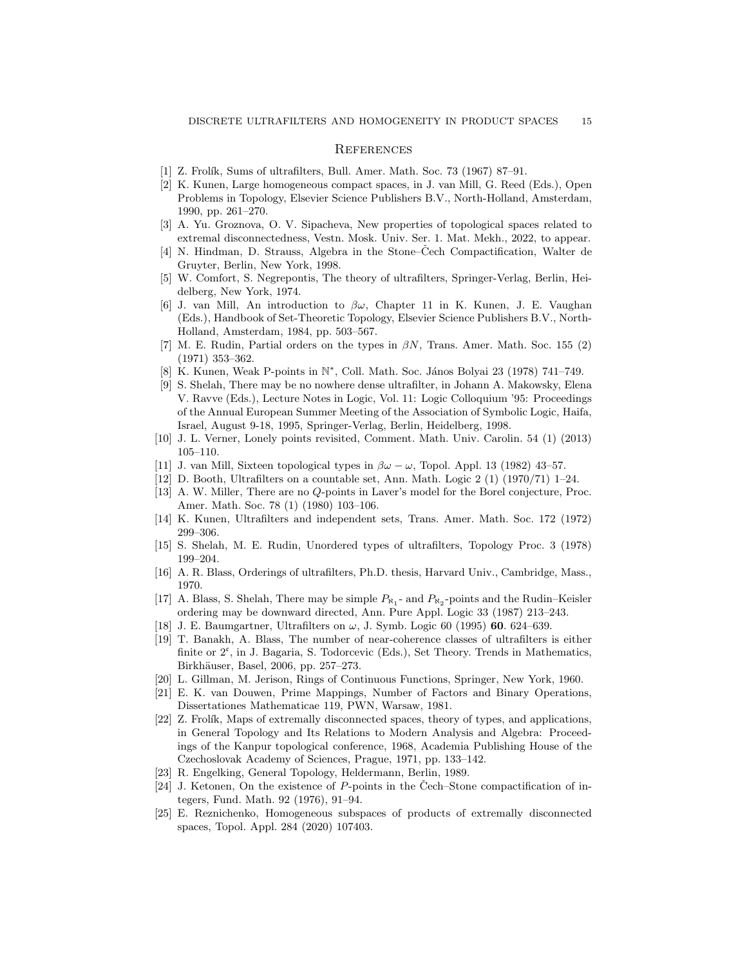#### **REFERENCES**

- <span id="page-14-1"></span><span id="page-14-0"></span>[1] Z. Frolík, Sums of ultrafilters, Bull. Amer. Math. Soc. 73 (1967) 87–91.
- [2] K. Kunen, Large homogeneous compact spaces, in J. van Mill, G. Reed (Eds.), Open Problems in Topology, Elsevier Science Publishers B.V., North-Holland, Amsterdam, 1990, pp. 261–270.
- <span id="page-14-2"></span>[3] A. Yu. Groznova, O. V. Sipacheva, New properties of topological spaces related to extremal disconnectedness, Vestn. Mosk. Univ. Ser. 1. Mat. Mekh., 2022, to appear.
- <span id="page-14-3"></span>[4] N. Hindman, D. Strauss, Algebra in the Stone–Cech Compactification, Walter de Gruyter, Berlin, New York, 1998.
- <span id="page-14-5"></span><span id="page-14-4"></span>[5] W. Comfort, S. Negrepontis, The theory of ultrafilters, Springer-Verlag, Berlin, Heidelberg, New York, 1974.
- [6] J. van Mill, An introduction to  $\beta\omega$ , Chapter 11 in K. Kunen, J. E. Vaughan (Eds.), Handbook of Set-Theoretic Topology, Elsevier Science Publishers B.V., North-Holland, Amsterdam, 1984, pp. 503–567.
- <span id="page-14-6"></span>[7] M. E. Rudin, Partial orders on the types in  $\beta N$ , Trans. Amer. Math. Soc. 155 (2) (1971) 353–362.
- <span id="page-14-8"></span><span id="page-14-7"></span>[8] K. Kunen, Weak P-points in N<sup>\*</sup>, Coll. Math. Soc. János Bolyai 23 (1978) 741–749.
- [9] S. Shelah, There may be no nowhere dense ultrafilter, in Johann A. Makowsky, Elena V. Ravve (Eds.), Lecture Notes in Logic, Vol. 11: Logic Colloquium '95: Proceedings of the Annual European Summer Meeting of the Association of Symbolic Logic, Haifa, Israel, August 9-18, 1995, Springer-Verlag, Berlin, Heidelberg, 1998.
- <span id="page-14-10"></span><span id="page-14-9"></span>[10] J. L. Verner, Lonely points revisited, Comment. Math. Univ. Carolin. 54 (1) (2013) 105–110.
- <span id="page-14-11"></span>[11] J. van Mill, Sixteen topological types in  $\beta\omega - \omega$ , Topol. Appl. 13 (1982) 43–57.
- <span id="page-14-12"></span>[12] D. Booth, Ultrafilters on a countable set, Ann. Math. Logic 2 (1) (1970/71) 1–24.
- [13] A. W. Miller, There are no Q-points in Laver's model for the Borel conjecture, Proc. Amer. Math. Soc. 78 (1) (1980) 103–106.
- <span id="page-14-13"></span>[14] K. Kunen, Ultrafilters and independent sets, Trans. Amer. Math. Soc. 172 (1972) 299–306.
- <span id="page-14-14"></span>[15] S. Shelah, M. E. Rudin, Unordered types of ultrafilters, Topology Proc. 3 (1978) 199–204.
- <span id="page-14-15"></span>[16] A. R. Blass, Orderings of ultrafilters, Ph.D. thesis, Harvard Univ., Cambridge, Mass., 1970.
- [17] A. Blass, S. Shelah, There may be simple  $P_{\aleph_1}$  and  $P_{\aleph_2}$ -points and the Rudin–Keisler ordering may be downward directed, Ann. Pure Appl. Logic 33 (1987) 213–243.
- <span id="page-14-17"></span><span id="page-14-16"></span>[18] J. E. Baumgartner, Ultrafilters on  $\omega$ , J. Symb. Logic 60 (1995) 60. 624–639.
- [19] T. Banakh, A. Blass, The number of near-coherence classes of ultrafilters is either finite or  $2^{\mathfrak{c}}$ , in J. Bagaria, S. Todorcevic (Eds.), Set Theory. Trends in Mathematics, Birkhäuser, Basel, 2006, pp. 257–273.
- <span id="page-14-19"></span><span id="page-14-18"></span>[20] L. Gillman, M. Jerison, Rings of Continuous Functions, Springer, New York, 1960.
- [21] E. K. van Douwen, Prime Mappings, Number of Factors and Binary Operations, Dissertationes Mathematicae 119, PWN, Warsaw, 1981.
- <span id="page-14-20"></span>[22] Z. Frolík, Maps of extremally disconnected spaces, theory of types, and applications, in General Topology and Its Relations to Modern Analysis and Algebra: Proceedings of the Kanpur topological conference, 1968, Academia Publishing House of the Czechoslovak Academy of Sciences, Prague, 1971, pp. 133–142.
- <span id="page-14-22"></span><span id="page-14-21"></span>[23] R. Engelking, General Topology, Heldermann, Berlin, 1989.
- [24] J. Ketonen, On the existence of  $P$ -points in the Čech–Stone compactification of integers, Fund. Math. 92 (1976), 91–94.
- <span id="page-14-23"></span>[25] E. Reznichenko, Homogeneous subspaces of products of extremally disconnected spaces, Topol. Appl. 284 (2020) 107403.